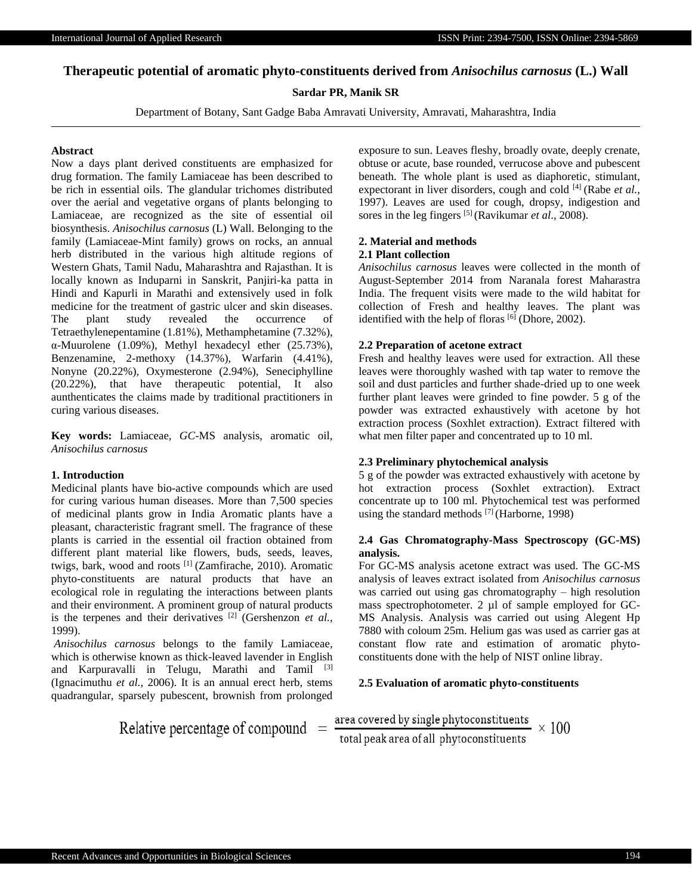# **Therapeutic potential of aromatic phyto-constituents derived from** *Anisochilus carnosus* **(L.) Wall**

## **Sardar PR, Manik SR**

Department of Botany, Sant Gadge Baba Amravati University, Amravati, Maharashtra, India

### **Abstract**

Now a days plant derived constituents are emphasized for drug formation. The family Lamiaceae has been described to be rich in essential oils. The glandular trichomes distributed over the aerial and vegetative organs of plants belonging to Lamiaceae, are recognized as the site of essential oil biosynthesis. *Anisochilus carnosus* (L) Wall. Belonging to the family (Lamiaceae-Mint family) grows on rocks, an annual herb distributed in the various high altitude regions of Western Ghats, Tamil Nadu, Maharashtra and Rajasthan. It is locally known as Induparni in Sanskrit, Panjiri-ka patta in Hindi and Kapurli in Marathi and extensively used in folk medicine for the treatment of gastric ulcer and skin diseases. The plant study revealed the occurrence of Tetraethylenepentamine (1.81%), Methamphetamine (7.32%), α-Muurolene (1.09%), Methyl hexadecyl ether (25.73%), Benzenamine, 2-methoxy (14.37%), Warfarin (4.41%), Nonyne (20.22%), Oxymesterone (2.94%), Seneciphylline (20.22%), that have therapeutic potential, It also aunthenticates the claims made by traditional practitioners in curing various diseases.

**Key words:** Lamiaceae, *GC*-MS analysis, aromatic oil, *Anisochilus carnosus*

### **1. Introduction**

Medicinal plants have bio-active compounds which are used for curing various human diseases. More than 7,500 species of medicinal plants grow in India Aromatic plants have a pleasant, characteristic fragrant smell. The fragrance of these plants is carried in the essential oil fraction obtained from different plant material like flowers, buds, seeds, leaves, twigs, bark, wood and roots <sup>[1]</sup> (Zamfirache, 2010). Aromatic phyto-constituents are natural products that have an ecological role in regulating the interactions between plants and their environment. A prominent group of natural products is the terpenes and their derivatives [2] (Gershenzon *et al.,* 1999).

*Anisochilus carnosus* belongs to the family Lamiaceae, which is otherwise known as thick-leaved lavender in English and Karpuravalli in Telugu, Marathi and Tamil [3] (Ignacimuthu *et al.*, 2006). It is an annual erect herb, stems quadrangular, sparsely pubescent, brownish from prolonged

Relative percentage of compound  $=$ 

exposure to sun. Leaves fleshy, broadly ovate, deeply crenate, obtuse or acute, base rounded, verrucose above and pubescent beneath. The whole plant is used as diaphoretic, stimulant, expectorant in liver disorders, cough and cold <sup>[4]</sup> (Rabe *et al.*, 1997). Leaves are used for cough, dropsy, indigestion and sores in the leg fingers <sup>[5]</sup> (Ravikumar *et al.*, 2008).

# **2. Material and methods**

# **2.1 Plant collection**

*Anisochilus carnosus* leaves were collected in the month of August-September 2014 from Naranala forest Maharastra India. The frequent visits were made to the wild habitat for collection of Fresh and healthy leaves. The plant was identified with the help of floras  $[6]$  (Dhore, 2002).

#### **2.2 Preparation of acetone extract**

Fresh and healthy leaves were used for extraction. All these leaves were thoroughly washed with tap water to remove the soil and dust particles and further shade-dried up to one week further plant leaves were grinded to fine powder. 5 g of the powder was extracted exhaustively with acetone by hot extraction process (Soxhlet extraction). Extract filtered with what men filter paper and concentrated up to 10 ml.

### **2.3 Preliminary phytochemical analysis**

5 g of the powder was extracted exhaustively with acetone by hot extraction process (Soxhlet extraction). Extract concentrate up to 100 ml. Phytochemical test was performed using the standard methods <sup>[7]</sup> (Harborne, 1998)

## **2.4 Gas Chromatography-Mass Spectroscopy (GC-MS) analysis.**

For GC-MS analysis acetone extract was used. The GC-MS analysis of leaves extract isolated from *Anisochilus carnosus* was carried out using gas chromatography – high resolution mass spectrophotometer. 2 µl of sample employed for GC-MS Analysis. Analysis was carried out using Alegent Hp 7880 with coloum 25m. Helium gas was used as carrier gas at constant flow rate and estimation of aromatic phytoconstituents done with the help of NIST online libray.

### **2.5 Evaluation of aromatic phyto-constituents**

area covered by single phytoconstituents  $\times 100$ total peak area of all phytoconstituents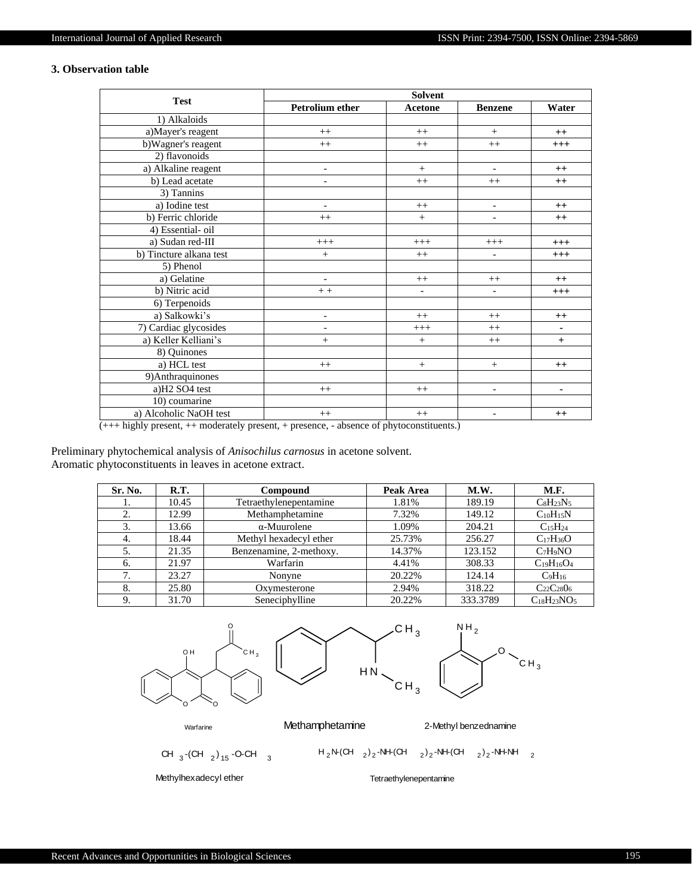# **3. Observation table**

|                                       | Solvent                  |                          |                          |          |  |
|---------------------------------------|--------------------------|--------------------------|--------------------------|----------|--|
| <b>Test</b>                           | <b>Petrolium</b> ether   | <b>Acetone</b>           | <b>Benzene</b>           | Water    |  |
| 1) Alkaloids                          |                          |                          |                          |          |  |
| a)Mayer's reagent                     | $++$                     | $++$                     | $+$                      | $^{++}$  |  |
| b)Wagner's reagent                    | $^{++}$                  | $^{++}$                  | $^{++}$                  | $+++$    |  |
| 2) flavonoids                         |                          |                          |                          |          |  |
| a) Alkaline reagent                   | $\overline{\phantom{a}}$ | $+$                      | $\overline{\phantom{a}}$ | $++$     |  |
| b) Lead acetate                       |                          | $^{++}$                  | $^{++}$                  | $++$     |  |
| 3) Tannins                            |                          |                          |                          |          |  |
| a) Iodine test                        | $\overline{\phantom{a}}$ | $++$                     | $\overline{\phantom{a}}$ | $++$     |  |
| b) Ferric chloride                    | $++$                     | $+$                      | $\overline{\phantom{a}}$ | $++$     |  |
| 4) Essential-oil                      |                          |                          |                          |          |  |
| a) Sudan red-III                      | $^{+++}$                 | $^{+++}$                 | $^{+++}$                 | $+++$    |  |
| b) Tincture alkana test               | $+$                      | $^{++}$                  |                          | $+++$    |  |
| 5) Phenol                             |                          |                          |                          |          |  |
| a) Gelatine                           | $\overline{\phantom{a}}$ | $++$                     | $++$                     | $++$     |  |
| b) Nitric acid                        | $+ +$                    | $\overline{\phantom{0}}$ |                          | $^{+++}$ |  |
| 6) Terpenoids                         |                          |                          |                          |          |  |
| a) Salkowki's                         | $\overline{\phantom{a}}$ | $++$                     | $++$                     | $^{++}$  |  |
| 7) Cardiac glycosides                 | $\overline{\phantom{a}}$ | $^{+++}$                 | $^{++}$                  | ä,       |  |
| a) Keller Kelliani's                  | $^{+}$                   | $^{+}$                   | $++$                     | $^{+}$   |  |
| 8) Quinones                           |                          |                          |                          |          |  |
| a) HCL test                           | $++$                     | $^{+}$                   | $^{+}$                   | $++$     |  |
| 9) Anthraquinones                     |                          |                          |                          |          |  |
| a)H <sub>2</sub> SO <sub>4</sub> test | $^{++}$                  | $^{++}$                  | $\overline{\phantom{a}}$ | ٠        |  |
| 10) coumarine                         |                          |                          |                          |          |  |
| a) Alcoholic NaOH test                | $^{++}$                  | $^{++}$                  |                          | $^{++}$  |  |

(+++ highly present, ++ moderately present, + presence, - absence of phytoconstituents.)

Preliminary phytochemical analysis of *Anisochilus carnosus* in acetone solvent.

Aromatic phytoconstituents in leaves in acetone extract.

| Sr. No. | R.T.  | Compound                | Peak Area | M.W.     | M.F.                             |
|---------|-------|-------------------------|-----------|----------|----------------------------------|
| 1.      | 10.45 | Tetraethylenepentamine  | 1.81%     | 189.19   | CsH <sub>23</sub> N <sub>5</sub> |
| 2.      | 12.99 | Methamphetamine         | 7.32%     | 149.12   | $C_{10}H_{15}N$                  |
| 3.      | 13.66 | $\alpha$ -Muurolene     | 1.09%     | 204.21   | $C_{15}H_{24}$                   |
| 4.      | 18.44 | Methyl hexadecyl ether  | 25.73%    | 256.27   | $C_{17}H_{36}O$                  |
| 5.      | 21.35 | Benzenamine, 2-methoxy. | 14.37%    | 123.152  | C <sub>7</sub> H <sub>9</sub> NO |
| 6.      | 21.97 | Warfarin                | 4.41%     | 308.33   | $C_{19}H_{16}O_4$                |
| 7.      | 23.27 | Nonyne                  | 20.22%    | 124.14   | $C_9H_{16}$                      |
| 8.      | 25.80 | Oxymesterone            | 2.94%     | 318.22   | $C_{22}C_{28}0_6$                |
| 9.      | 31.70 | Seneciphylline          | 20.22%    | 333.3789 | $C_{18}H_{23}NO_5$               |







Warfarine

Methamphetamine

2-Methyl benzednamine

 $CH_{3}$ -(CH<sub>2</sub>)<sub>15</sub>-O-CH<sub>3</sub>

Methylhexadecyl ether

Tetraethylenepentamine

 $\mathsf{H}_2\mathsf{N}\text{-}\mathsf{CH}_{-2}\text{-}\mathsf{O}_2\text{-}\mathsf{N}\text{-}\mathsf{C}\text{-}\mathsf{C}\text{-}\mathsf{C}\text{-}\mathsf{C}\text{-}\mathsf{C}\text{-}\mathsf{C}\text{-}\mathsf{C}\text{-}\mathsf{C}\text{-}\mathsf{C}\text{-}\mathsf{C}\text{-}\mathsf{C}\text{-}\mathsf{C}\text{-}\mathsf{C}\text{-}\mathsf{C}\text{-}\mathsf{C}\text{-}\mathsf{C}\text{-}\mathsf{C}\text{-}\mathsf{C}\text{-}\mathsf{C}\text{-}\mathsf{C}\text{-}\mathsf{C}\text{-}\mathsf{C}\text{-$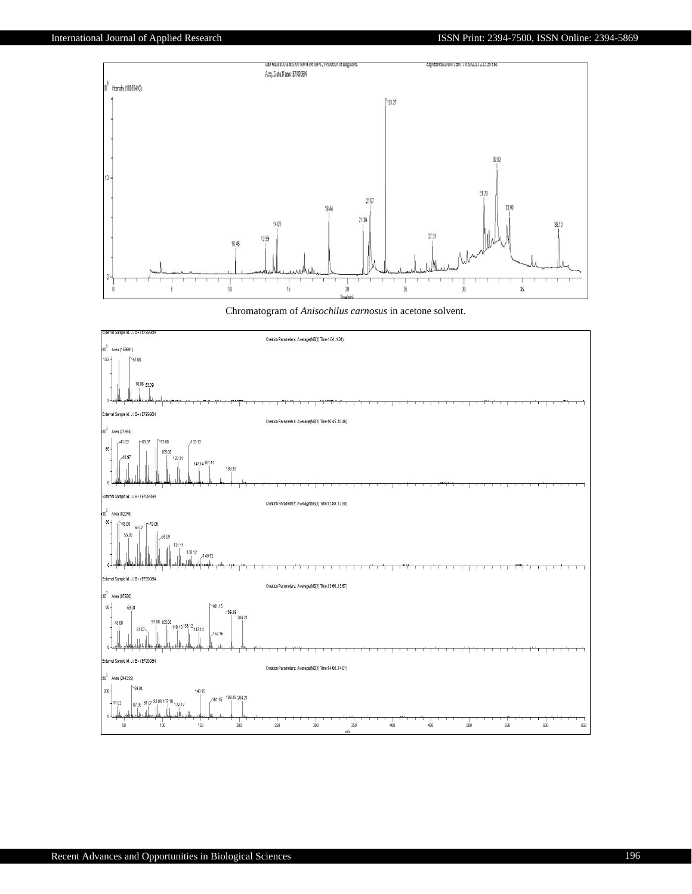

### Chromatogram of *Anisochilus carnosus* in acetone solvent.



Recent Advances and Opportunities in Biological Sciences 196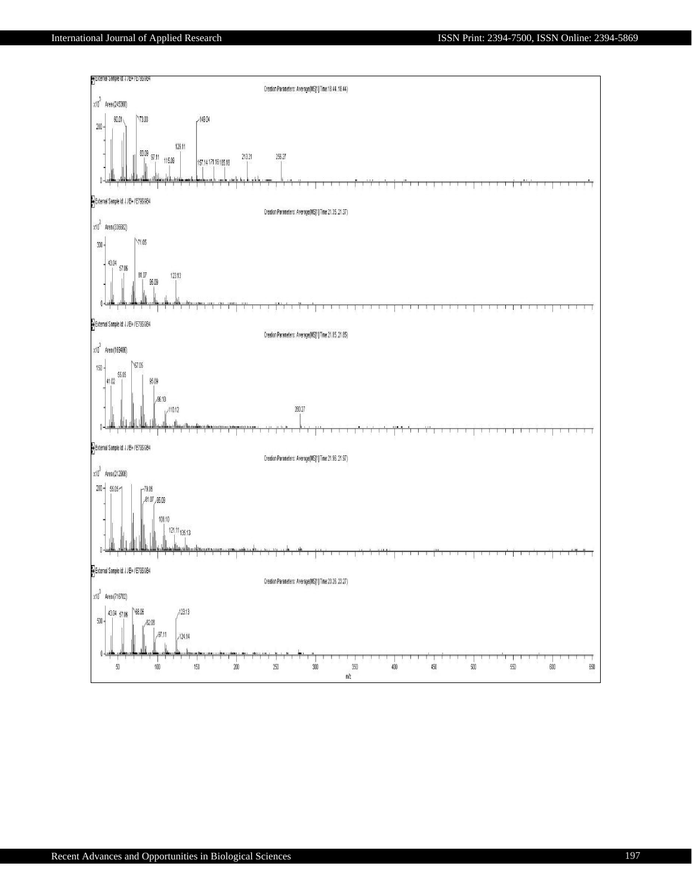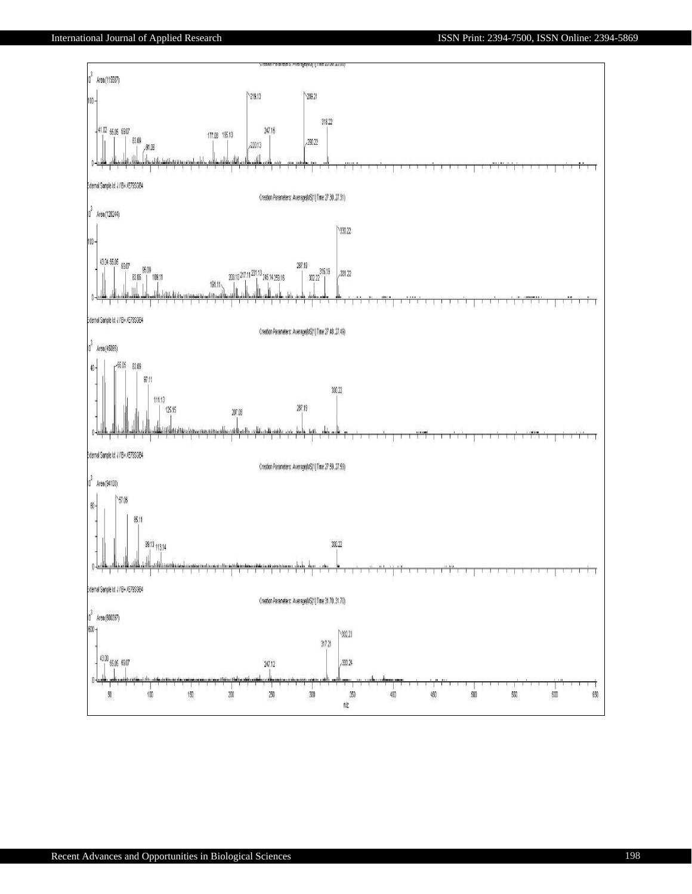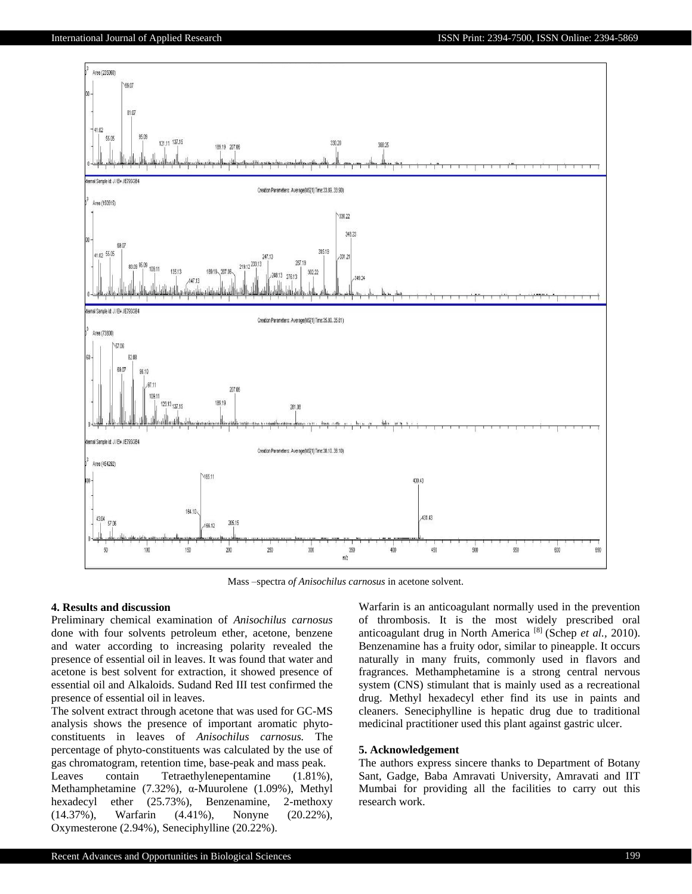

Mass –spectra *of Anisochilus carnosus* in acetone solvent.

### **4. Results and discussion**

Preliminary chemical examination of *Anisochilus carnosus* done with four solvents petroleum ether, acetone, benzene and water according to increasing polarity revealed the presence of essential oil in leaves. It was found that water and acetone is best solvent for extraction, it showed presence of essential oil and Alkaloids. Sudand Red III test confirmed the presence of essential oil in leaves.

The solvent extract through acetone that was used for GC-MS analysis shows the presence of important aromatic phytoconstituents in leaves of *Anisochilus carnosus.* The percentage of phyto-constituents was calculated by the use of gas chromatogram, retention time, base-peak and mass peak. Leaves contain Tetraethylenepentamine (1.81%), Methamphetamine (7.32%), α-Muurolene (1.09%), Methyl hexadecyl ether (25.73%), Benzenamine, 2-methoxy (14.37%), Warfarin (4.41%), Nonyne (20.22%), Oxymesterone (2.94%), Seneciphylline (20.22%).

Warfarin is an anticoagulant normally used in the prevention of thrombosis. It is the most widely prescribed oral anticoagulant drug in North America [8] (Schep *et al.,* 2010). Benzenamine has a fruity odor, similar to pineapple. It occurs naturally in many fruits, commonly used in flavors and fragrances. Methamphetamine is a strong central nervous system (CNS) stimulant that is mainly used as a recreational drug. Methyl hexadecyl ether find its use in paints and cleaners. Seneciphylline is hepatic drug due to traditional medicinal practitioner used this plant against gastric ulcer.

#### **5. Acknowledgement**

The authors express sincere thanks to Department of Botany Sant, Gadge, Baba Amravati University, Amravati and IIT Mumbai for providing all the facilities to carry out this research work.